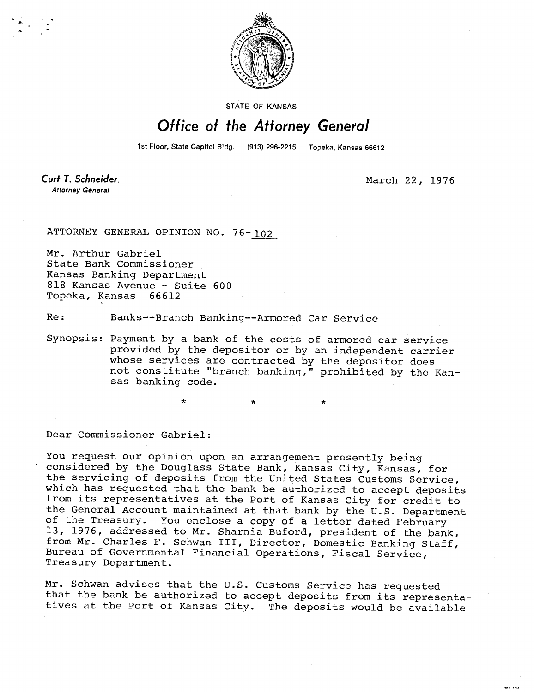

STATE OF KANSAS

## Office of the Attorney General

1st Floor, State Capitol Bldg. (913) 296-2215 Topeka, Kansas 66612

 $\star$ 

Curt T. Schneider. **Attorney General** 

March 22, 1976

. . . . . .

ATTORNEY GENERAL OPINION NO. 76-102

Mr. Arthur Gabriel State Bank Commissioner Kansas Banking Department 818 Kansas Avenue - Suite 600 Topeka, Kansas 66612

Re: Banks--Branch Banking--Armored Car Service

Synopsis: Payment by a bank of the costs of armored car service provided by the depositor or by an independent carrier whose services are contracted by the depositor does not constitute "branch banking," prohibited by the Kansas banking code.

 $\star$ 

÷

Dear Commissioner Gabriel:

You request our opinion upon an arrangement presently being considered by the Douglass State Bank, Kansas City, Kansas, for the servicing of deposits from the United States Customs Service, which has requested that the bank be authorized to accept deposits from its representatives at the Port of Kansas City for credit to the General Account maintained at that bank by the U.S. Department of the Treasury. You enclose a copy of a letter dated February 13, 1976, addressed to Mr. Sharnia Buford, president of the bank, from Mr. Charles F. Schwan III, Director, Domestic Banking Staff, Bureau of Governmental Financial Operations, Fiscal Service, Treasury Department.

Mr. Schwan advises that the U.S. Customs Service has requested that the bank be authorized to accept deposits from its representatives at the Port of Kansas City. The deposits would be available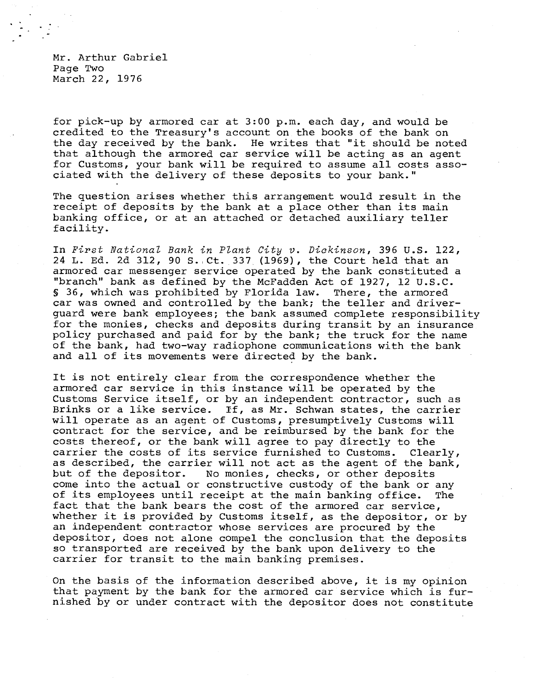Mr. Arthur Gabriel Page Two March 22, 1976

for pick-up by armored car at 3:00 p.m. each day, and would be credited to the Treasury's account on the books of the bank on the day received by the bank. He writes that "it should be noted that although the armored car service will be acting as an agent for Customs, your bank will be required to assume all costs associated with the delivery of these deposits to your bank."

The question arises whether this arrangement would result in the receipt of deposits by the bank at a place other than its main banking office, or at an attached or detached auxiliary teller facility.

In First National Bank in Plant City v. Dickinson, 396 U.S. 122, 24 L. Ed. 2d 312, 90 S. Ct. 337 (1969), the Court held that an armored car messenger service operated by the bank constituted a "branch" bank as defined by the McFadden Act of 1927, 12 U.S.C. § 36, which was prohibited by Florida law. There, the armored car was owned and controlled by the bank; the teller and driverguard were bank employees; the bank assumed complete responsibility for the monies, checks and deposits during transit by an insurance policy purchased and paid for by the bank; the truck for the name of the bank, had two-way radiophone communications with the bank and all of its movements were directed by the bank.

It is not entirely clear from the correspondence whether the armored car service in this instance will be operated by the Customs Service itself, or by an independent contractor, such as Brinks or a like service. If, as Mr. Schwan states, the carrier will operate as an agent of Customs, presumptively Customs will contract for the service, and be reimbursed by the bank for the costs thereof, or the bank will agree to pay directly to the carrier the costs of its service furnished to Customs. Clearly, as described, the carrier will not act as the agent of the bank, but of the depositor. No monies, checks, or other deposits come into the actual or constructive custody of the bank or any of its employees until receipt at the main banking office. The fact that the bank bears the cost of the armored car service, whether it is provided by Customs itself, as the depositor, or by an independent contractor whose services are procured by the depositor, does not alone compel the conclusion that the deposits so transported are received by the bank upon delivery to the carrier for transit to the main banking premises.

On the basis of the information described above, it is my opinion that payment by the bank for the armored car service which is furnished by or under contract with the depositor does not constitute